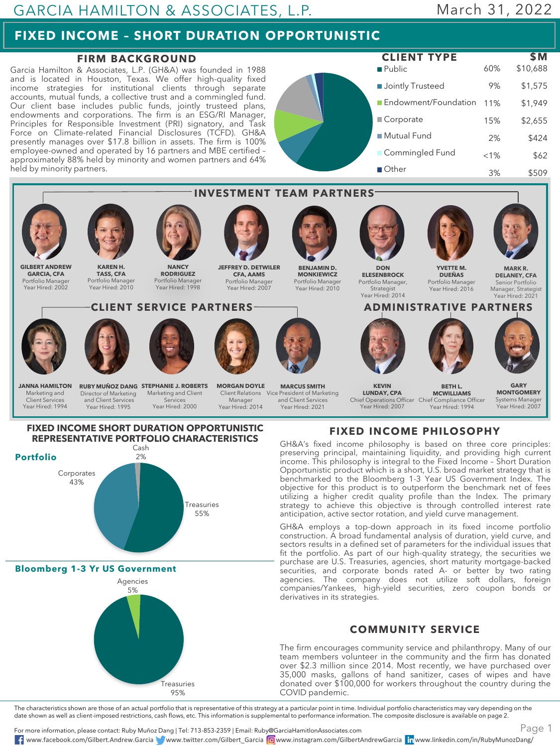## GARCIA HAMILTON & ASSOCIATES, L.P.

## March 31, 2022

# **FIXED INCOME – SHORT DURATION OPPORTUNISTIC**

#### **FIRM BACKGROUND**

Garcia Hamilton & Associates, L.P. (GH&A) was founded in 1988 and is located in Houston, Texas. We offer high-quality fixed income strategies for institutional clients through separate accounts, mutual funds, a collective trust and a commingled fund. Our client base includes public funds, jointly trusteed plans, endowments and corporations. The firm is an ESG/RI Manager, Principles for Responsible Investment (PRI) signatory, and Task Force on Climate-related Financial Disclosures (TCFD). GH&A presently manages over \$17.8 billion in assets. The firm is 100% employee-owned and operated by 16 partners and MBE certified – approximately 88% held by minority and women partners and 64% held by minority partners.

**Public Jointly Trusteed** Endowment/Foundation 11% Corporate ■ Mutual Fund **Commingled Fund** Other 60% \$10,688 9% \$1,575 \$1,949 15% \$2,655 2% \$424  $< 1\%$  \$62 3% \$509 **CLIENT TYPE \$M**



The characteristics shown are those of an actual portfolio that is representative of this strategy at a particular point in time. Individual portfolio characteristics may vary depending on the<br>date shown as well as client-

For more information, please contact: Ruby Muñoz Dang | Tel: 713-853-2359 | Email: Ruby@GarciaHamitlonAssociates.com www.facebook.com/Gilbert.Andrew.Garcia www.twitter.com/Gilbert\_Garcia www.instagram.com/GilbertAndrewGarcia www.linkedin.com/in/RubyMunozDang/